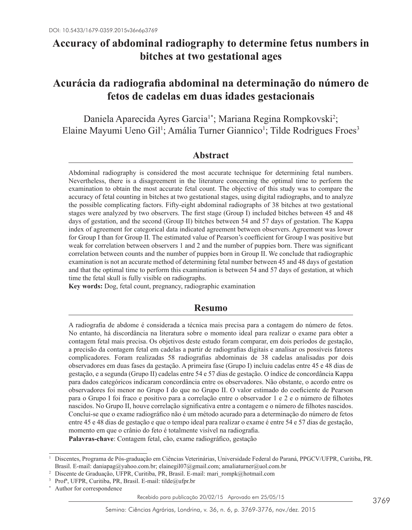# **Accuracy of abdominal radiography to determine fetus numbers in bitches at two gestational ages**

# **Acurácia da radiografia abdominal na determinação do número de fetos de cadelas em duas idades gestacionais**

Daniela Aparecida Ayres Garcia<sup>1</sup>\*; Mariana Regina Rompkovski<sup>2</sup>; Elaine Mayumi Ueno Gil<sup>1</sup>; Amália Turner Giannico<sup>1</sup>; Tilde Rodrigues Froes<sup>3</sup>

# **Abstract**

Abdominal radiography is considered the most accurate technique for determining fetal numbers. Nevertheless, there is a disagreement in the literature concerning the optimal time to perform the examination to obtain the most accurate fetal count. The objective of this study was to compare the accuracy of fetal counting in bitches at two gestational stages, using digital radiographs, and to analyze the possible complicating factors. Fifty-eight abdominal radiographs of 38 bitches at two gestational stages were analyzed by two observers. The first stage (Group I) included bitches between 45 and 48 days of gestation, and the second (Group II) bitches between 54 and 57 days of gestation. The Kappa index of agreement for categorical data indicated agreement between observers. Agreement was lower for Group I than for Group II. The estimated value of Pearson's coefficient for Group I was positive but weak for correlation between observers 1 and 2 and the number of puppies born. There was significant correlation between counts and the number of puppies born in Group II. We conclude that radiographic examination is not an accurate method of determining fetal number between 45 and 48 days of gestation and that the optimal time to perform this examination is between 54 and 57 days of gestation, at which time the fetal skull is fully visible on radiographs.

**Key words:** Dog, fetal count, pregnancy, radiographic examination

# **Resumo**

A radiografia de abdome é considerada a técnica mais precisa para a contagem do número de fetos. No entanto, há discordância na literatura sobre o momento ideal para realizar o exame para obter a contagem fetal mais precisa. Os objetivos deste estudo foram comparar, em dois períodos de gestação, a precisão da contagem fetal em cadelas a partir de radiografias digitais e analisar os possíveis fatores complicadores. Foram realizadas 58 radiografias abdominais de 38 cadelas analisadas por dois observadores em duas fases da gestação. A primeira fase (Grupo I) incluiu cadelas entre 45 e 48 dias de gestação, e a segunda (Grupo II) cadelas entre 54 e 57 dias de gestação. O índice de concordância Kappa para dados categóricos indicaram concordância entre os observadores. Não obstante, o acordo entre os observadores foi menor no Grupo I do que no Grupo II. O valor estimado do coeficiente de Pearson para o Grupo I foi fraco e positivo para a correlação entre o observador 1 e 2 e o número de filhotes nascidos. No Grupo II, houve correlação significativa entre a contagem e o número de filhotes nascidos. Conclui-se que o exame radiográfico não é um método acurado para a determinação do número de fetos entre 45 e 48 dias de gestação e que o tempo ideal para realizar o exame é entre 54 e 57 dias de gestação, momento em que o crânio do feto é totalmente visível na radiografia.

**Palavras-chave**: Contagem fetal, cão, exame radiográfico, gestação

<sup>1</sup> Discentes, Programa de Pós-graduação em Ciências Veterinárias, Universidade Federal do Paraná, PPGCV/UFPR, Curitiba, PR. Brasil. E-mail: daniapag@yahoo.com.br; elainegil07@gmail.com; amaliaturner@uol.com.br

<sup>2</sup> Discente de Graduação, UFPR, Curitiba, PR, Brasil. E-mail: mari\_rompk@hotmail.com

Profª, UFPR, Curitiba, PR, Brasil. E-mail: tilde@ufpr.br

Author for correspondence

Recebido para publicação 20/02/15 Aprovado em 25/05/15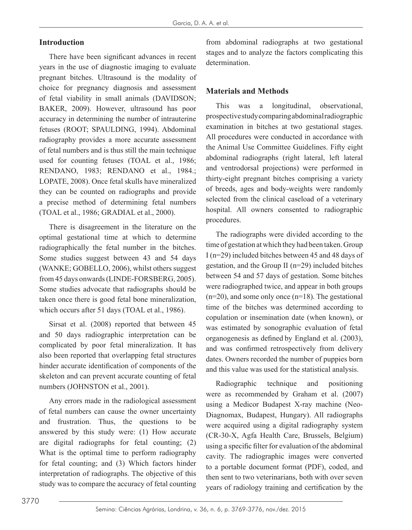## **Introduction**

There have been significant advances in recent years in the use of diagnostic imaging to evaluate pregnant bitches. Ultrasound is the modality of choice for pregnancy diagnosis and assessment of fetal viability in small animals (DAVIDSON; BAKER, 2009). However, ultrasound has poor accuracy in determining the number of intrauterine fetuses (ROOT; SPAULDING, 1994). Abdominal radiography provides a more accurate assessment of fetal numbers and is thus still the main technique used for counting fetuses (TOAL et al., 1986; RENDANO, 1983; RENDANO et al., 1984.; LOPATE, 2008). Once fetal skulls have mineralized they can be counted on radiographs and provide a precise method of determining fetal numbers (TOAL et al., 1986; GRADIAL et al., 2000).

There is disagreement in the literature on the optimal gestational time at which to determine radiographically the fetal number in the bitches. Some studies suggest between 43 and 54 days (WANKE; GOBELLO, 2006), whilst others suggest from 45 days onwards (LINDE-FORSBERG, 2005). Some studies advocate that radiographs should be taken once there is good fetal bone mineralization, which occurs after 51 days (TOAL et al., 1986).

Sirsat et al. (2008) reported that between 45 and 50 days radiographic interpretation can be complicated by poor fetal mineralization. It has also been reported that overlapping fetal structures hinder accurate identification of components of the skeleton and can prevent accurate counting of fetal numbers (JOHNSTON et al., 2001).

Any errors made in the radiological assessment of fetal numbers can cause the owner uncertainty and frustration. Thus, the questions to be answered by this study were: (1) How accurate are digital radiographs for fetal counting; (2) What is the optimal time to perform radiography for fetal counting; and (3) Which factors hinder interpretation of radiographs. The objective of this study was to compare the accuracy of fetal counting

from abdominal radiographs at two gestational stages and to analyze the factors complicating this determination.

# **Materials and Methods**

This was a longitudinal, observational, prospective study comparing abdominal radiographic examination in bitches at two gestational stages. All procedures were conducted in accordance with the Animal Use Committee Guidelines. Fifty eight abdominal radiographs (right lateral, left lateral and ventrodorsal projections) were performed in thirty-eight pregnant bitches comprising a variety of breeds, ages and body-weights were randomly selected from the clinical caseload of a veterinary hospital. All owners consented to radiographic procedures.

The radiographs were divided according to the time of gestation at which they had been taken. Group I (n=29) included bitches between 45 and 48 days of gestation, and the Group II (n=29) included bitches between 54 and 57 days of gestation. Some bitches were radiographed twice, and appear in both groups  $(n=20)$ , and some only once  $(n=18)$ . The gestational time of the bitches was determined according to copulation or insemination date (when known), or was estimated by sonographic evaluation of fetal organogenesis as defined by England et al. (2003), and was confirmed retrospectively from delivery dates. Owners recorded the number of puppies born and this value was used for the statistical analysis.

Radiographic technique and positioning were as recommended by Graham et al. (2007) using a Medicor Budapest X-ray machine (Neo-Diagnomax, Budapest, Hungary). All radiographs were acquired using a digital radiography system (CR-30-X, Agfa Health Care, Brussels, Belgium) using a specific filter for evaluation of the abdominal cavity. The radiographic images were converted to a portable document format (PDF), coded, and then sent to two veterinarians, both with over seven years of radiology training and certification by the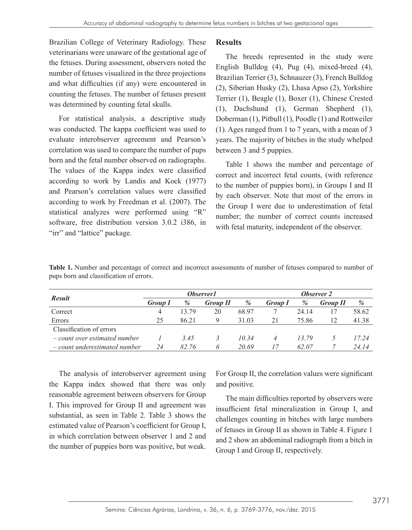Brazilian College of Veterinary Radiology. These veterinarians were unaware of the gestational age of the fetuses. During assessment, observers noted the number of fetuses visualized in the three projections and what difficulties (if any) were encountered in counting the fetuses. The number of fetuses present was determined by counting fetal skulls.

For statistical analysis, a descriptive study was conducted. The kappa coefficient was used to evaluate interobserver agreement and Pearson's correlation was used to compare the number of pups born and the fetal number observed on radiographs. The values of the Kappa index were classified according to work by Landis and Kock (1977) and Pearson's correlation values were classified according to work by Freedman et al. (2007). The statistical analyzes were performed using "R" software, free distribution version 3.0.2 i386, in "irr" and "lattice" package.

# **Results**

The breeds represented in the study were English Bulldog (4), Pug (4), mixed-breed (4), Brazilian Terrier (3), Schnauzer (3), French Bulldog (2), Siberian Husky (2), Lhasa Apso (2), Yorkshire Terrier (1), Beagle (1), Boxer (1), Chinese Crested (1), Dachshund (1), German Shepherd (1), Doberman (1), Pitbull (1), Poodle (1) and Rottweiler (1). Ages ranged from 1 to 7 years, with a mean of 3 years. The majority of bitches in the study whelped between 3 and 5 puppies.

Table 1 shows the number and percentage of correct and incorrect fetal counts, (with reference to the number of puppies born), in Groups I and II by each observer. Note that most of the errors in the Group I were due to underestimation of fetal number; the number of correct counts increased with fetal maturity, independent of the observer.

**Table 1.** Number and percentage of correct and incorrect assessments of number of fetuses compared to number of pups born and classification of errors.

|                                    | <i><b>Observer1</b></i> |       |                 |       | <b>Observer 2</b> |       |                 |       |
|------------------------------------|-------------------------|-------|-----------------|-------|-------------------|-------|-----------------|-------|
| <b>Result</b>                      | <b>Group 1</b>          | %     | <b>Group II</b> | %     | <b>Group I</b>    | %     | <b>Group II</b> | %     |
| Correct                            | 4                       | 13.79 | 20              | 68.97 |                   | 24 14 |                 | 58.62 |
| Errors                             | 25                      | 86.21 | Q               | 31.03 | 21                | 75.86 | 12              | 41.38 |
| Classification of errors           |                         |       |                 |       |                   |       |                 |       |
| $-$ count over estimated number    |                         | 3.45  |                 | 10.34 |                   | 13.79 |                 | 17.24 |
| $\sim$ count underestimated number | 24                      | 82.76 | h.              | 20.69 | 17                | 62.07 |                 | 24.14 |

The analysis of interobserver agreement using the Kappa index showed that there was only reasonable agreement between observers for Group I. This improved for Group II and agreement was substantial, as seen in Table 2. Table 3 shows the estimated value of Pearson's coefficient for Group I, in which correlation between observer 1 and 2 and the number of puppies born was positive, but weak.

For Group II, the correlation values were significant and positive.

The main difficulties reported by observers were insufficient fetal mineralization in Group I, and challenges counting in bitches with large numbers of fetuses in Group II as shown in Table 4. Figure 1 and 2 show an abdominal radiograph from a bitch in Group I and Group II, respectively.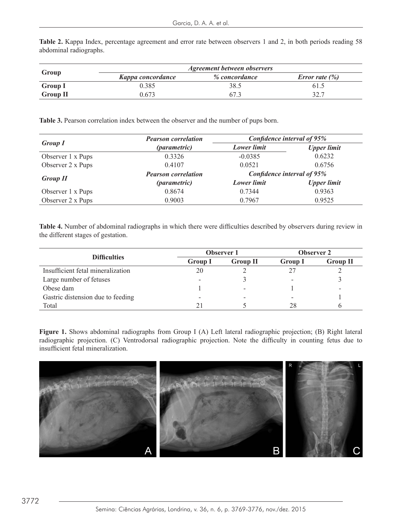Table 2. Kappa Index, percentage agreement and error rate between observers 1 and 2, in both periods reading 58 abdominal radiographs. abdominal radiographs.

| Group           | <b>Agreement between observers</b> |               |                          |  |  |
|-----------------|------------------------------------|---------------|--------------------------|--|--|
|                 | Kappa concordance                  | % concordance | <i>Error rate</i> $(\%)$ |  |  |
| <b>Group I</b>  | 0.385                              | 38.5          | 61.5                     |  |  |
| <b>Group II</b> | ) 673                              |               | 32.7                     |  |  |

**Table 3.** Pearson correlation index between the observer and the number of pups born.

|                   | <b>Pearson correlation</b> | Confidence interval of 95% |                    |  |  |
|-------------------|----------------------------|----------------------------|--------------------|--|--|
| <b>Group I</b>    | <i>(parametric)</i>        | <b>Lower</b> limit         | <b>Upper limit</b> |  |  |
| Observer 1 x Pups | 0.3326                     | $-0.0385$                  | 0.6232             |  |  |
| Observer 2 x Pups | 0.4107                     | 0.0521                     | 0.6756             |  |  |
|                   | <b>Pearson correlation</b> | Confidence interval of 95% |                    |  |  |
| <b>Group II</b>   | <i>(parametric)</i>        | <b>Lower</b> limit         | <b>Upper limit</b> |  |  |
| Observer 1 x Pups | 0.8674                     | 0.7344                     | 0.9363             |  |  |
| Observer 2 x Pups | 0.9003                     | 0.7967                     | 0.9525             |  |  |

**Table 4.** Number of abdominal radiographs in which there were difficulties described by observers during review in the different stages of gestation. **Table 4.** Number of abdominal radiographs in which there were difficulties described by observers during

|                | <b>Observer 1</b> | <b>Observer 2</b>        |                 |  |
|----------------|-------------------|--------------------------|-----------------|--|
| <b>Group I</b> | <b>Group II</b>   | <b>Group I</b>           | <b>Group II</b> |  |
| 20             |                   | 27                       |                 |  |
|                |                   | -                        |                 |  |
|                | -                 |                          |                 |  |
|                | -                 | $\overline{\phantom{a}}$ |                 |  |
| 21             |                   | 28                       |                 |  |
|                |                   |                          |                 |  |

Figure 1. Shows abdominal radiographs from Group I (A) Left lateral radiographic projection; (B) Right lateral radiographic projection. (C) Ventrodorsal radiographic projection. Note the difficulty in counting fetus due to insufficient fetal mineralization.

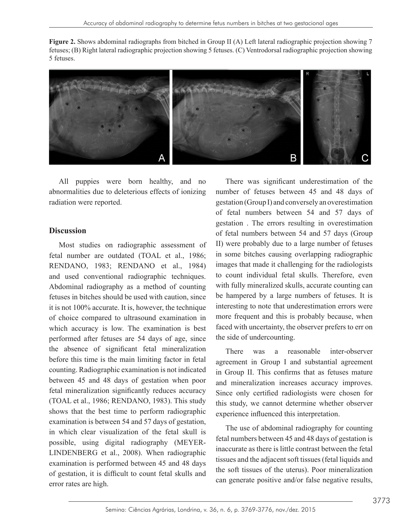Figure 2. Shows abdominal radiographs from bitched in Group II (A) Left lateral radiographic projection showing 7 fetuses; (B) Right lateral radiographic projection showing 5 fetuses. (C) Ventrodorsal radiographic projection showing 5 fetuses.



abnormalities due to deleterious effects of ionizing All puppies were born healthy, and no radiation were reported.

#### **Discussion**

Most studies on radiographic assessment of  $\Box$  were probably due to a large number of fetuse. RENDANO, 1983; RENDANO et al., 1984) images that made it challenging for the radiologists and used conventional radiographic techniques. to count individual fetal skulls. Therefore, even Abdominal radiography as a method of counting with fully mineralized skulls, accurate counting ca fetuses in bitches should be used with caution, since be hampered by a large numbers of fetuses. It is of choice compared to ultrasound examination in more frequent and this is probably because, when  $\frac{1}{\sqrt{2}}$ which accuracy is low. The examination is best faced with uncertainty, the observer prefers to err on performed after fetuses are 54 days of age, since the side of undercounting. the absence of significant fetal mineralization is there was a reasonable inter-observer before this time is the main limiting factor in fetal agreement in Group I and substantial agreement fetal mineralization significantly reduces accuracy Since only certified radiologists were chosen for (TOAL et al., 1986; RENDANO, 1983). This study this study we cannot determine whether observer shows that the best time to perform radiographic experience influenced this interpretation. challenging for the radiological fetal skull is  $\frac{1}{2}$ . The use of abdominal radiography for counting  $\frac{1}{2}$ .  $\frac{1}{2}$  regularization by  $\frac{1}{2}$  fetal numbers between 45 and 48 days of gestation is LINDENBERG et al., 2008). When radiographic  $\frac{1}{2}$  inaccurate as there is little contrast between the retainty, the more frequent and the more frequently, the more frequently and the more frequently and the more freque examination is performed between 45 and 48 days  $T_{\rm tot}$  as fetus as fetus mature and mineralization increases accuracy increases accuracy improves. Since  $T_{\rm tot}$ fetal number are outdated (TOAL et al., 1986; RENDANO, 1983; RENDANO et al., 1984) and used conventional radiographic techniques. it is not 100% accurate. It is, however, the technique of choice compared to ultrasound examination in which accuracy is low. The examination is best before this time is the main limiting factor in fetal counting. Radiographic examination is not indicated between 45 and 48 days of gestation when poor shows that the best time to perform radiographic examination is between 54 and 57 days of gestation, in which clear visualization of the fetal skull is possible, using digital radiography (MEYERof gestation, it is difficult to count fetal skulls and error rates are high.

puppies were born healthy, and no There was significant underestimation of the of fetal numbers between 54 and 57 days (Group number of fetuses between 45 and 48 days of gestation (Group I) and conversely an overestimation of fetal numbers between 54 and 57 days of gestation . The errors resulting in overestimation II) were probably due to a large number of fetuses in some bitches causing overlapping radiographic with fully mineralized skulls, accurate counting can be hampered by a large numbers of fetuses. It is interesting to note that underestimation errors were the side of undercounting.

Radiographic examination is not indicated in Group II. This confirms that as fetuses mature  $45$  and  $48$  days of examination when need There was a reasonable inter-observer and mineralization increases accuracy improves. Since only certified radiologists were chosen for this study, we cannot determine whether observer

on, it is difficult to count fetal skuits and<br>can generate positive and/or false negative results, inaccurate as there is little contrast between the fetal tissues and the adjacent soft tissues (fetal liquids and the soft tissues of the uterus). Poor mineralization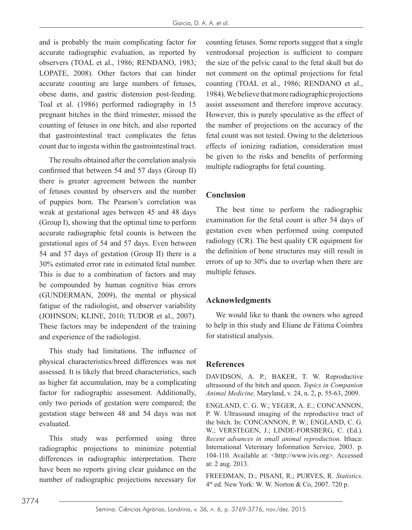and is probably the main complicating factor for accurate radiographic evaluation, as reported by observers (TOAL et al., 1986; RENDANO, 1983; LOPATE, 2008). Other factors that can hinder accurate counting are large numbers of fetuses, obese dams, and gastric distension post-feeding. Toal et al. (1986) performed radiography in 15 pregnant bitches in the third trimester, missed the counting of fetuses in one bitch, and also reported that gastrointestinal tract complicates the fetus count due to ingesta within the gastrointestinal tract.

The results obtained after the correlation analysis confirmed that between 54 and 57 days (Group II) there is greater agreement between the number of fetuses counted by observers and the number of puppies born. The Pearson's correlation was weak at gestational ages between 45 and 48 days (Group I), showing that the optimal time to perform accurate radiographic fetal counts is between the gestational ages of 54 and 57 days. Even between 54 and 57 days of gestation (Group II) there is a 30% estimated error rate in estimated fetal number. This is due to a combination of factors and may be compounded by human cognitive bias errors (GUNDERMAN, 2009), the mental or physical fatigue of the radiologist, and observer variability (JOHNSON; KLINE, 2010; TUDOR et al., 2007). These factors may be independent of the training and experience of the radiologist.

This study had limitations. The influence of physical characteristics/breed differences was not assessed. It is likely that breed characteristics, such as higher fat accumulation, may be a complicating factor for radiographic assessment. Additionally, only two periods of gestation were compared; the gestation stage between 48 and 54 days was not evaluated.

This study was performed using three radiographic projections to minimize potential differences in radiographic interpretation. There have been no reports giving clear guidance on the number of radiographic projections necessary for counting fetuses. Some reports suggest that a single ventrodorsal projection is sufficient to compare the size of the pelvic canal to the fetal skull but do not comment on the optimal projections for fetal counting (TOAL et al., 1986; RENDANO et al., 1984). We believe that more radiographic projections assist assessment and therefore improve accuracy. However, this is purely speculative as the effect of the number of projections on the accuracy of the fetal count was not tested. Owing to the deleterious effects of ionizing radiation, consideration must be given to the risks and benefits of performing multiple radiographs for fetal counting.

## **Conclusion**

The best time to perform the radiographic examination for the fetal count is after 54 days of gestation even when performed using computed radiology (CR). The best quality CR equipment for the definition of bone structures may still result in errors of up to 30% due to overlap when there are multiple fetuses.

# **Acknowledgments**

We would like to thank the owners who agreed to help in this study and Eliane de Fátima Coimbra for statistical analysis.

### **References**

DAVIDSON, A. P.; BAKER, T. W. Reproductive ultrasound of the bitch and queen. *Topics in Companion Animal Medicine,* Maryland, v. 24, n. 2, p. 55-63, 2009.

ENGLAND, C. G. W.; YEGER, A. E.; CONCANNON, P. W. Ultrasound imaging of the reproductive tract of the bitch. In: CONCANNON, P. W.; ENGLAND, C. G. W.; VERSTEGEN, J.; LINDE-FORSBERG, C. (Ed.). *Recent advances in small animal reproduction*. Ithaca: International Veterinary Information Service, 2003. p. 104-110. Available at: <http://www.ivis.org>. Accessed at: 2 aug. 2013.

FREEDMAN, D.; PISANI, R.; PURVES, R. *Statistics*. 4th ed. New York: W. W. Norton & Co, 2007. 720 p.